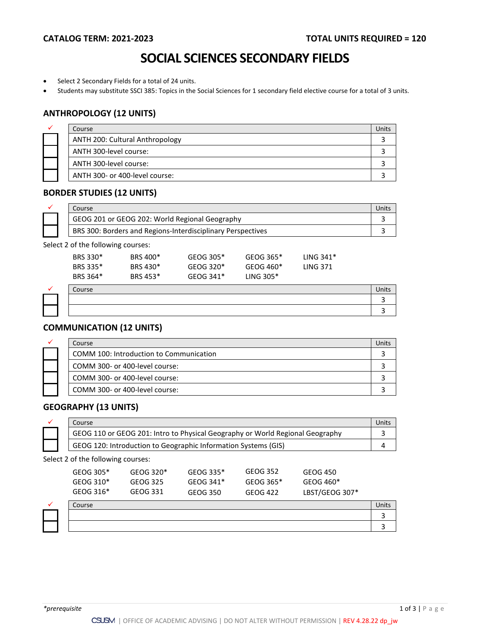3 3

## **SOCIAL SCIENCES SECONDARY FIELDS**

- Select 2 Secondary Fields for a total of 24 units.
- Students may substitute SSCI 385: Topics in the Social Sciences for 1 secondary field elective course for a total of 3 units.

#### **ANTHROPOLOGY (12 UNITS)**

| ✓ | Course                          |  |
|---|---------------------------------|--|
|   | ANTH 200: Cultural Anthropology |  |
|   | ANTH 300-level course:          |  |
|   | ANTH 300-level course:          |  |
|   | ANTH 300- or 400-level course:  |  |

#### **BORDER STUDIES (12 UNITS)**

| Course                                                      |  |
|-------------------------------------------------------------|--|
| GEOG 201 or GEOG 202: World Regional Geography              |  |
| BRS 300: Borders and Regions-Interdisciplinary Perspectives |  |

Select 2 of the following courses:

| BRS 364*<br>Course | BRS 453* | GEOG 341* | LING $305*$ |                 | Units |
|--------------------|----------|-----------|-------------|-----------------|-------|
| BRS 335*           | BRS 430* | GEOG 320* | GEOG 460*   | <b>LING 371</b> |       |
| BRS 330*           | BRS 400* | GEOG 305* | GEOG 365*   | LING $341*$     |       |
|                    |          |           |             |                 |       |

### **COMMUNICATION (12 UNITS)**

| ✓ | Course                                  | Jnit' |
|---|-----------------------------------------|-------|
|   | COMM 100: Introduction to Communication |       |
|   | COMM 300- or 400-level course:          |       |
|   | COMM 300- or 400-level course:          |       |
|   | COMM 300- or 400-level course:          |       |

### **GEOGRAPHY (13 UNITS)**

| Course                                                                        |  |
|-------------------------------------------------------------------------------|--|
| GEOG 110 or GEOG 201: Intro to Physical Geography or World Regional Geography |  |
| GEOG 120: Introduction to Geographic Information Systems (GIS)                |  |

Select 2 of the following courses:

|   | GEOG 305*<br>GEOG 310* | GEOG 320*<br>GEOG 325 | GEOG 335*<br>GEOG 341* | GEOG 352<br>GEOG 365* | GEOG 450<br>GEOG 460* |       |
|---|------------------------|-----------------------|------------------------|-----------------------|-----------------------|-------|
|   | GEOG 316*              | GEOG 331              | GEOG 350               | GEOG 422              | LBST/GEOG 307*        |       |
| ✓ | Course                 |                       |                        |                       |                       | Units |
|   |                        |                       |                        |                       |                       |       |
|   |                        |                       |                        |                       |                       |       |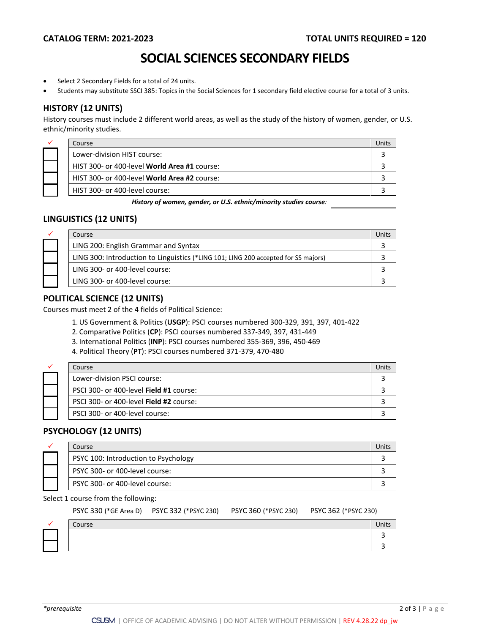### **SOCIAL SCIENCES SECONDARY FIELDS**

- Select 2 Secondary Fields for a total of 24 units.
- Students may substitute SSCI 385: Topics in the Social Sciences for 1 secondary field elective course for a total of 3 units.

#### **HISTORY (12 UNITS)**

History courses must include 2 different world areas, as well as the study of the history of women, gender, or U.S. ethnic/minority studies.

| ✓ | Course                                              | Jnits. |
|---|-----------------------------------------------------|--------|
|   | Lower-division HIST course:                         |        |
|   | HIST 300- or 400-level <b>World Area #1</b> course: |        |
|   | HIST 300- or 400-level <b>World Area #2</b> course: |        |
|   | HIST 300- or 400-level course:                      |        |

*History of women, gender, or U.S. ethnic/minority studies course:* 

#### **LINGUISTICS (12 UNITS)**

| ✓ | Course |                                                                                    | <b>Units</b> |
|---|--------|------------------------------------------------------------------------------------|--------------|
|   |        | LING 200: English Grammar and Syntax                                               |              |
|   |        | LING 300: Introduction to Linguistics (*LING 101; LING 200 accepted for SS majors) |              |
|   |        | LING 300- or 400-level course:                                                     |              |
|   |        | LING 300- or 400-level course:                                                     |              |

#### **POLITICAL SCIENCE (12 UNITS)**

Courses must meet 2 of the 4 fields of Political Science:

- 1.US Government & Politics (**USGP**): PSCI courses numbered 300-329, 391, 397, 401-422
- 2. Comparative Politics (**CP**): PSCI courses numbered 337-349, 397, 431-449
- 3. International Politics (**INP**): PSCI courses numbered 355-369, 396, 450-469
- 4. Political Theory (**PT**): PSCI courses numbered 371-379, 470-480

| ✓ | Course                                  | Jnit |
|---|-----------------------------------------|------|
|   | Lower-division PSCI course:             |      |
|   | PSCI 300- or 400-level Field #1 course: |      |
|   | PSCI 300- or 400-level Field #2 course: |      |
|   | PSCI 300- or 400-level course:          |      |

#### **PSYCHOLOGY (12 UNITS)**

|  | Course                               |  |
|--|--------------------------------------|--|
|  | PSYC 100: Introduction to Psychology |  |
|  | PSYC 300- or 400-level course:       |  |
|  | PSYC 300- or 400-level course:       |  |

#### Select 1 course from the following:

|  | PSYC 330 (*GE Area D) PSYC 332 (*PSYC 230) PSYC 360 (*PSYC 230) PSYC 362 (*PSYC 230) |  |
|--|--------------------------------------------------------------------------------------|--|
|  |                                                                                      |  |

|  | Course | Units |
|--|--------|-------|
|  |        |       |
|  |        |       |